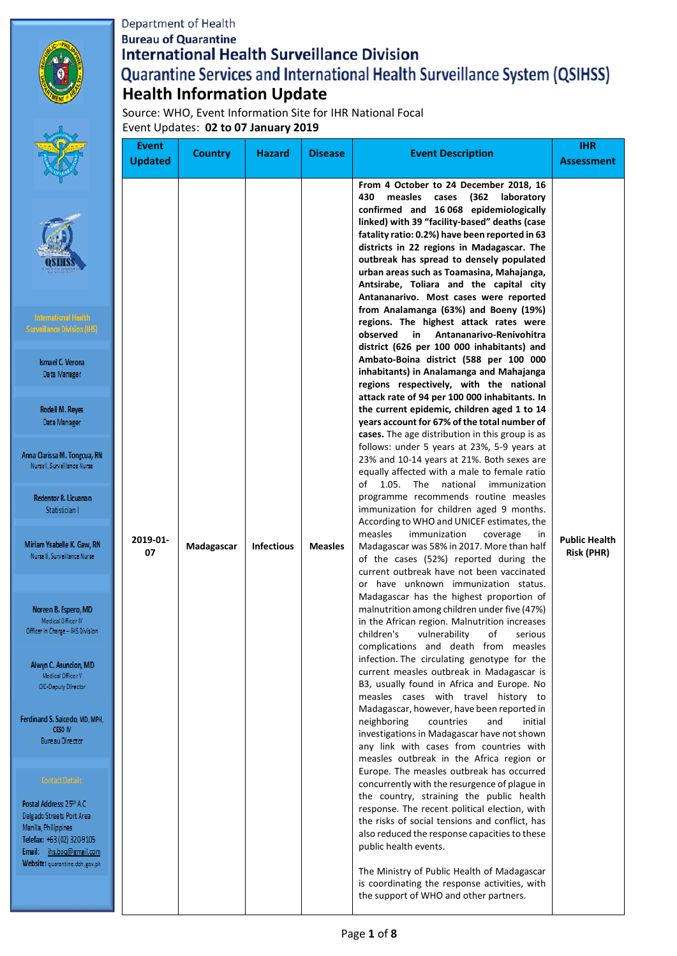# Department of Health **Bureau of Quarantine International Health Surveillance Division** Quarantine Services and International Health Surveillance System (QSIHSS) **Health Information Update**



Anna Cla Nurs

Red

Mirian Nurs

Nore Officer

> Alwy  $\mathbf{0}$

Ferdinar

Postal A Delgado Manila, Telefax: Email: Website

Source: WHO, Event Information Site for IHR National Focal Event Updates: **02 to 07 January 2019**

|                                                                                                                                                                                                                                                                                                                                                                                                                                                                                                                                                                                             | Event<br><b>Updated</b> | <b>Country</b> | <b>Hazard</b>     | <b>Disease</b> | <b>Event Description</b>                                                                                                                                                                                                                                                                                                                                                                                                                                                                                                                                                                                                                                                                                                                                                                                                                                                                                                                                                                                                                                                                                                                                                                                                                                                                                                                                                                                                                                                                                                                                                                                                                                                                                                                                                                                                                                                                                                                                                                                                                                                                                                                                                                                                                                                                                                                                                                                                                                                                                                                                                                                                                                     | <b>IHR</b><br><b>Assessment</b>    |
|---------------------------------------------------------------------------------------------------------------------------------------------------------------------------------------------------------------------------------------------------------------------------------------------------------------------------------------------------------------------------------------------------------------------------------------------------------------------------------------------------------------------------------------------------------------------------------------------|-------------------------|----------------|-------------------|----------------|--------------------------------------------------------------------------------------------------------------------------------------------------------------------------------------------------------------------------------------------------------------------------------------------------------------------------------------------------------------------------------------------------------------------------------------------------------------------------------------------------------------------------------------------------------------------------------------------------------------------------------------------------------------------------------------------------------------------------------------------------------------------------------------------------------------------------------------------------------------------------------------------------------------------------------------------------------------------------------------------------------------------------------------------------------------------------------------------------------------------------------------------------------------------------------------------------------------------------------------------------------------------------------------------------------------------------------------------------------------------------------------------------------------------------------------------------------------------------------------------------------------------------------------------------------------------------------------------------------------------------------------------------------------------------------------------------------------------------------------------------------------------------------------------------------------------------------------------------------------------------------------------------------------------------------------------------------------------------------------------------------------------------------------------------------------------------------------------------------------------------------------------------------------------------------------------------------------------------------------------------------------------------------------------------------------------------------------------------------------------------------------------------------------------------------------------------------------------------------------------------------------------------------------------------------------------------------------------------------------------------------------------------------------|------------------------------------|
| mational Health<br>lance Division (IHS)<br>nael C. Verona<br>ata Manager<br>dell M. Reyes<br>lata Manager<br>rissa M. Tongcua, RN<br>I, Surveillance Nurse<br>entor R. Licuanan<br>Statistician I<br>Ysabelle K. Gaw, RN<br>II, Surveillance Nurse<br>en B. Espero, MD<br>edical Officer IV<br>n Charge – IHS Division<br>ւ C. Asuncion, MD<br>ledical Officer V<br>-Deputy Director<br>1 S. Salcedo, MD, MPH,<br>CESO IV<br>ireau Director<br>ontact Details:<br>ddress: 25th A.C.<br>Streets Port Area<br>hilippines<br>+63 (02) 320-9105<br>ihs.boq@gmail.com<br>: quarantine.doh.gov.ph | 2019-01-<br>07          | Madagascar     | <b>Infectious</b> | <b>Measles</b> | From 4 October to 24 December 2018, 16<br>(362<br>430<br>measles<br>cases<br>laboratory<br>confirmed and 16 068 epidemiologically<br>linked) with 39 "facility-based" deaths (case<br>fatality ratio: 0.2%) have been reported in 63<br>districts in 22 regions in Madagascar. The<br>outbreak has spread to densely populated<br>urban areas such as Toamasina, Mahajanga,<br>Antsirabe, Toliara and the capital city<br>Antananarivo. Most cases were reported<br>from Analamanga (63%) and Boeny (19%)<br>regions. The highest attack rates were<br>Antananarivo-Renivohitra<br>observed<br>in<br>district (626 per 100 000 inhabitants) and<br>Ambato-Boina district (588 per 100 000<br>inhabitants) in Analamanga and Mahajanga<br>regions respectively, with the national<br>attack rate of 94 per 100 000 inhabitants. In<br>the current epidemic, children aged 1 to 14<br>years account for 67% of the total number of<br>cases. The age distribution in this group is as<br>follows: under 5 years at 23%, 5-9 years at<br>23% and 10-14 years at 21%. Both sexes are<br>equally affected with a male to female ratio<br>of 1.05. The national immunization<br>programme recommends routine measles<br>immunization for children aged 9 months.<br>According to WHO and UNICEF estimates, the<br>measles<br>immunization<br>coverage<br>in<br>Madagascar was 58% in 2017. More than half<br>of the cases (52%) reported during the<br>current outbreak have not been vaccinated<br>or have unknown immunization status.<br>Madagascar has the highest proportion of<br>malnutrition among children under five (47%)<br>in the African region. Malnutrition increases<br>children's<br>vulnerability<br>of<br>serious<br>complications and death from measles<br>infection. The circulating genotype for the<br>current measles outbreak in Madagascar is<br>B3, usually found in Africa and Europe. No<br>measles cases with travel history to<br>Madagascar, however, have been reported in<br>neighboring<br>countries<br>initial<br>and<br>investigations in Madagascar have not shown<br>any link with cases from countries with<br>measles outbreak in the Africa region or<br>Europe. The measles outbreak has occurred<br>concurrently with the resurgence of plague in<br>the country, straining the public health<br>response. The recent political election, with<br>the risks of social tensions and conflict, has<br>also reduced the response capacities to these<br>public health events.<br>The Ministry of Public Health of Madagascar<br>is coordinating the response activities, with<br>the support of WHO and other partners. | <b>Public Health</b><br>Risk (PHR) |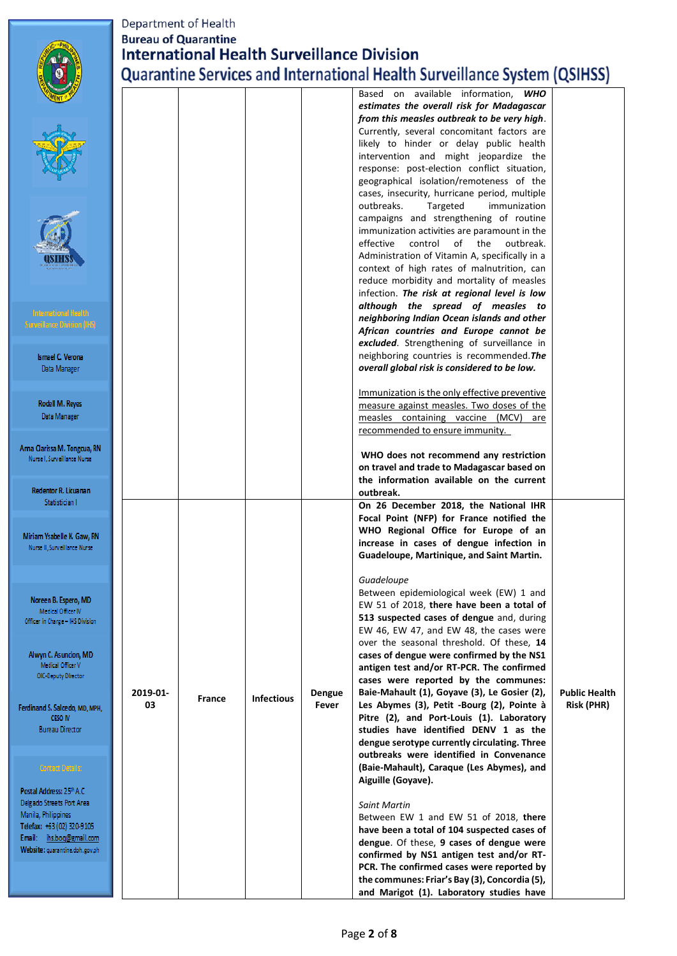|                                                             | Department of Health |                             |                   |        |                                                                                              |                      |
|-------------------------------------------------------------|----------------------|-----------------------------|-------------------|--------|----------------------------------------------------------------------------------------------|----------------------|
|                                                             |                      | <b>Bureau of Quarantine</b> |                   |        |                                                                                              |                      |
|                                                             |                      |                             |                   |        | <b>International Health Surveillance Division</b>                                            |                      |
|                                                             |                      |                             |                   |        | <b>Quarantine Services and International Health Surveillance System (QSIHSS)</b>             |                      |
|                                                             |                      |                             |                   |        | Based on available information,<br><b>WHO</b>                                                |                      |
|                                                             |                      |                             |                   |        | estimates the overall risk for Madagascar                                                    |                      |
|                                                             |                      |                             |                   |        | from this measles outbreak to be very high.                                                  |                      |
|                                                             |                      |                             |                   |        | Currently, several concomitant factors are                                                   |                      |
|                                                             |                      |                             |                   |        | likely to hinder or delay public health<br>intervention and might jeopardize the             |                      |
|                                                             |                      |                             |                   |        | response: post-election conflict situation,                                                  |                      |
|                                                             |                      |                             |                   |        | geographical isolation/remoteness of the                                                     |                      |
|                                                             |                      |                             |                   |        | cases, insecurity, hurricane period, multiple<br>Targeted                                    |                      |
|                                                             |                      |                             |                   |        | outbreaks.<br>immunization<br>campaigns and strengthening of routine                         |                      |
|                                                             |                      |                             |                   |        | immunization activities are paramount in the                                                 |                      |
|                                                             |                      |                             |                   |        | effective<br>outbreak.<br>control<br>of the                                                  |                      |
|                                                             |                      |                             |                   |        | Administration of Vitamin A, specifically in a<br>context of high rates of malnutrition, can |                      |
|                                                             |                      |                             |                   |        | reduce morbidity and mortality of measles                                                    |                      |
|                                                             |                      |                             |                   |        | infection. The risk at regional level is low                                                 |                      |
| <b>International Health</b>                                 |                      |                             |                   |        | although the spread of measles to                                                            |                      |
| <b>Surveillance Division (IFS)</b>                          |                      |                             |                   |        | neighboring Indian Ocean islands and other<br>African countries and Europe cannot be         |                      |
|                                                             |                      |                             |                   |        | excluded. Strengthening of surveillance in                                                   |                      |
| <b>Ismael C. Verona</b>                                     |                      |                             |                   |        | neighboring countries is recommended. The                                                    |                      |
| Data Manager                                                |                      |                             |                   |        | overall global risk is considered to be low.                                                 |                      |
|                                                             |                      |                             |                   |        | Immunization is the only effective preventive                                                |                      |
| Rodell M. Reyes                                             |                      |                             |                   |        | measure against measles. Two doses of the                                                    |                      |
| Data Manager                                                |                      |                             |                   |        | measles containing vaccine (MCV)<br>are                                                      |                      |
|                                                             |                      |                             |                   |        | recommended to ensure immunity.                                                              |                      |
| Anna Clarissa M. Tongcua, RN<br>Nurse I. Surveillance Nurse |                      |                             |                   |        | WHO does not recommend any restriction                                                       |                      |
|                                                             |                      |                             |                   |        | on travel and trade to Madagascar based on                                                   |                      |
|                                                             |                      |                             |                   |        | the information available on the current                                                     |                      |
| <b>Redentor R. Licuanan</b><br>Statistician I               |                      |                             |                   |        | outbreak.<br>On 26 December 2018, the National IHR                                           |                      |
|                                                             |                      |                             |                   |        | Focal Point (NFP) for France notified the                                                    |                      |
| Miriam Ysabelle K. Gaw, RN                                  |                      |                             |                   |        | WHO Regional Office for Europe of an                                                         |                      |
| Nurse II, Surveillance Nurse                                |                      |                             |                   |        | increase in cases of dengue infection in                                                     |                      |
|                                                             |                      |                             |                   |        | Guadeloupe, Martinique, and Saint Martin.                                                    |                      |
|                                                             |                      |                             |                   |        | Guadeloupe                                                                                   |                      |
| Noreen B. Espero, MD                                        |                      |                             |                   |        | Between epidemiological week (EW) 1 and                                                      |                      |
| Medical Officer IV                                          |                      |                             |                   |        | EW 51 of 2018, there have been a total of                                                    |                      |
| Officer in Charge - IHS Division                            |                      |                             |                   |        | 513 suspected cases of dengue and, during<br>EW 46, EW 47, and EW 48, the cases were         |                      |
|                                                             |                      |                             |                   |        | over the seasonal threshold. Of these, 14                                                    |                      |
| Alwyn C. Asuncion, MD<br>Medical Officer V                  |                      |                             |                   |        | cases of dengue were confirmed by the NS1                                                    |                      |
| OIC-Deputy Director                                         |                      |                             |                   |        | antigen test and/or RT-PCR. The confirmed<br>cases were reported by the communes:            |                      |
|                                                             | 2019-01-             |                             |                   | Dengue | Baie-Mahault (1), Goyave (3), Le Gosier (2),                                                 | <b>Public Health</b> |
| Ferdinand S. Salcedo, MD, MPH,                              | 03                   | <b>France</b>               | <b>Infectious</b> | Fever  | Les Abymes (3), Petit -Bourg (2), Pointe à                                                   | <b>Risk (PHR)</b>    |
| <b>CESO IV</b>                                              |                      |                             |                   |        | Pitre (2), and Port-Louis (1). Laboratory                                                    |                      |
| Bureau Director                                             |                      |                             |                   |        | studies have identified DENV 1 as the<br>dengue serotype currently circulating. Three        |                      |
|                                                             |                      |                             |                   |        | outbreaks were identified in Convenance                                                      |                      |
| Contact Details:                                            |                      |                             |                   |        | (Baie-Mahault), Caraque (Les Abymes), and                                                    |                      |
| Postal Address: 25th A.C.                                   |                      |                             |                   |        | Aiguille (Goyave).                                                                           |                      |
| Delgado Streets Port Area                                   |                      |                             |                   |        | <b>Saint Martin</b>                                                                          |                      |
| Manila, Philippines                                         |                      |                             |                   |        | Between EW 1 and EW 51 of 2018, there                                                        |                      |
| Telefax: +63 (02) 320-9105<br>Email: ihs.bog@gmail.com      |                      |                             |                   |        | have been a total of 104 suspected cases of                                                  |                      |
| Website: quarantine.doh.gov.ph                              |                      |                             |                   |        | dengue. Of these, 9 cases of dengue were                                                     |                      |
|                                                             |                      |                             |                   |        | confirmed by NS1 antigen test and/or RT-<br>PCR. The confirmed cases were reported by        |                      |
|                                                             |                      |                             |                   |        | the communes: Friar's Bay (3), Concordia (5),                                                |                      |
|                                                             |                      |                             |                   |        | and Marigot (1). Laboratory studies have                                                     |                      |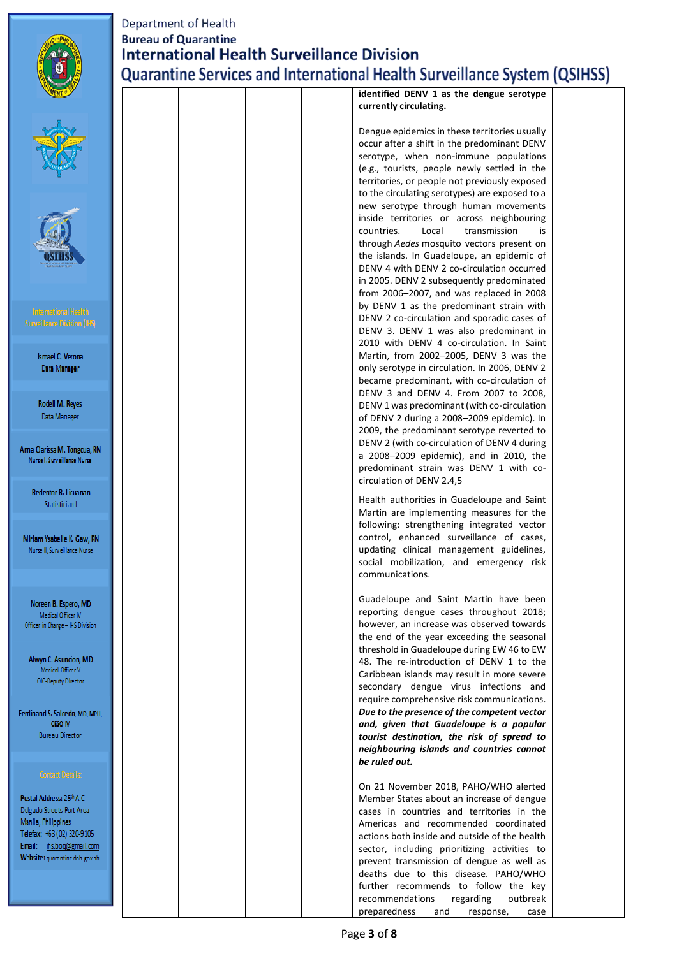

P  $\mathbf{D}$  $\overline{N}$ T) Er

# Department of Health **Bureau of Quarantine International Health Surveillance Division Quarantine Services and International Health Surveillance System (QSIHSS)**

|                                                                                                            |  |  | identified DENV I as the deligue serotype<br>currently circulating.                                                                                                                                                                                                                                                                                              |
|------------------------------------------------------------------------------------------------------------|--|--|------------------------------------------------------------------------------------------------------------------------------------------------------------------------------------------------------------------------------------------------------------------------------------------------------------------------------------------------------------------|
|                                                                                                            |  |  | Dengue epidemics in these territories usually<br>occur after a shift in the predominant DENV<br>serotype, when non-immune populations<br>(e.g., tourists, people newly settled in the<br>territories, or people not previously exposed<br>to the circulating serotypes) are exposed to a                                                                         |
|                                                                                                            |  |  | new serotype through human movements<br>inside territories or across neighbouring<br>countries.<br>Local<br>transmission<br>is<br>through Aedes mosquito vectors present on<br>the islands. In Guadeloupe, an epidemic of<br>DENV 4 with DENV 2 co-circulation occurred<br>in 2005. DENV 2 subsequently predominated<br>from 2006-2007, and was replaced in 2008 |
| <b>International Health</b><br>iurveillance Division (IFS)                                                 |  |  | by DENV 1 as the predominant strain with<br>DENV 2 co-circulation and sporadic cases of<br>DENV 3. DENV 1 was also predominant in<br>2010 with DENV 4 co-circulation. In Saint                                                                                                                                                                                   |
| <b>Ismael C. Verona</b><br>Data Manager                                                                    |  |  | Martin, from 2002-2005, DENV 3 was the<br>only serotype in circulation. In 2006, DENV 2<br>became predominant, with co-circulation of<br>DENV 3 and DENV 4. From 2007 to 2008,                                                                                                                                                                                   |
| Rodell M. Reyes<br>Data Manager                                                                            |  |  | DENV 1 was predominant (with co-circulation<br>of DENV 2 during a 2008-2009 epidemic). In<br>2009, the predominant serotype reverted to                                                                                                                                                                                                                          |
| na Clarissa M. Tongcua, RN<br>Nurse I, Surveillance Nurse                                                  |  |  | DENV 2 (with co-circulation of DENV 4 during<br>a 2008-2009 epidemic), and in 2010, the<br>predominant strain was DENV 1 with co-<br>circulation of DENV 2.4,5                                                                                                                                                                                                   |
| Redentor R. Licuanan<br>Statistician I                                                                     |  |  | Health authorities in Guadeloupe and Saint<br>Martin are implementing measures for the<br>following: strengthening integrated vector                                                                                                                                                                                                                             |
| 1iriam Ysabelle K. Gaw, RN<br>Nurse II, Surveillance Nurse                                                 |  |  | control, enhanced surveillance of cases,<br>updating clinical management guidelines,<br>social mobilization, and emergency risk<br>communications.                                                                                                                                                                                                               |
| Noreen B. Espero, MD<br>Medical Officer IV<br>)fficer in Charge – IHS Division                             |  |  | Guadeloupe and Saint Martin have been<br>reporting dengue cases throughout 2018;<br>however, an increase was observed towards<br>the end of the year exceeding the seasonal                                                                                                                                                                                      |
| Alwyn C. Asuncion, MD<br>Medical Officer V<br>OIC-Deputy Director                                          |  |  | threshold in Guadeloupe during EW 46 to EW<br>48. The re-introduction of DENV 1 to the<br>Caribbean islands may result in more severe<br>secondary dengue virus infections and                                                                                                                                                                                   |
| dinand S. Salcedo, MD, MPH,<br><b>CESO IV</b><br><b>Bureau Director</b>                                    |  |  | require comprehensive risk communications.<br>Due to the presence of the competent vector<br>and, given that Guadeloupe is a popular<br>tourist destination, the risk of spread to                                                                                                                                                                               |
| <b>Contact Details:</b>                                                                                    |  |  | neighbouring islands and countries cannot<br>be ruled out.                                                                                                                                                                                                                                                                                                       |
| stal Address: 25th A.C.<br>Igado Streets Port Area                                                         |  |  | On 21 November 2018, PAHO/WHO alerted<br>Member States about an increase of dengue<br>cases in countries and territories in the                                                                                                                                                                                                                                  |
| anila, Philippines<br>lefax: +63 (02) 320-9105<br>nail: ihs.boq@gmail.com<br>ebsite: quarantine.doh.gov.ph |  |  | Americas and recommended coordinated<br>actions both inside and outside of the health<br>sector, including prioritizing activities to<br>prevent transmission of dengue as well as                                                                                                                                                                               |
|                                                                                                            |  |  | deaths due to this disease. PAHO/WHO<br>further recommends to follow the key<br>recommendations<br>regarding<br>outbreak<br>preparedness<br>and<br>response,<br>case                                                                                                                                                                                             |
|                                                                                                            |  |  |                                                                                                                                                                                                                                                                                                                                                                  |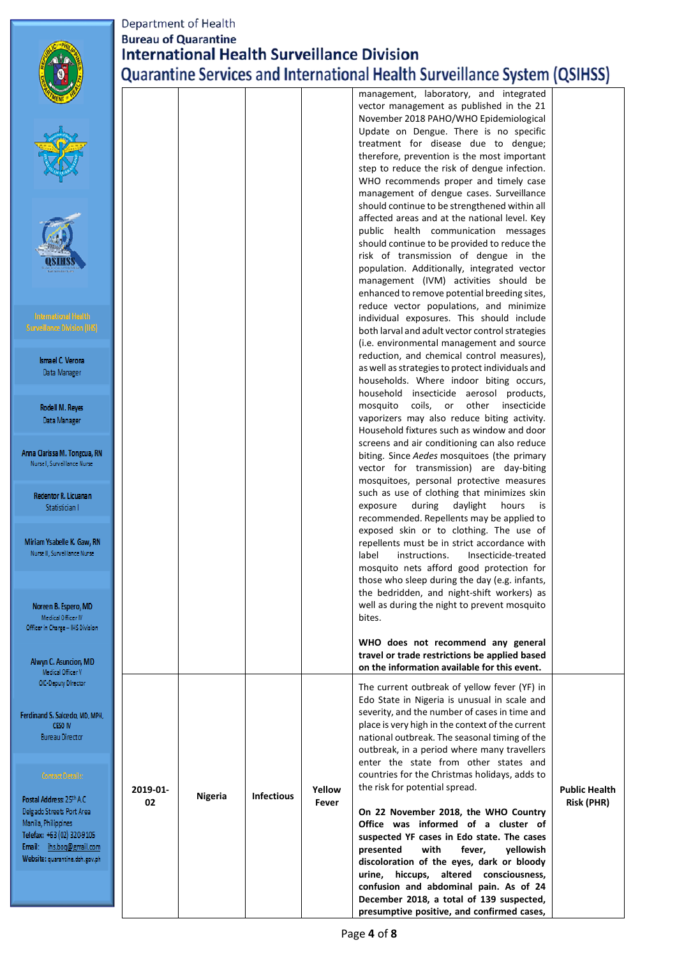|                                                                                                                                                                                               | Department of Health<br><b>Bureau of Quarantine</b> |         |                   |                 | <b>International Health Surveillance Division</b><br><b>Quarantine Services and International Health Surveillance System (QSIHSS)</b>                                                                                                                                                                                                                                                              |                                           |
|-----------------------------------------------------------------------------------------------------------------------------------------------------------------------------------------------|-----------------------------------------------------|---------|-------------------|-----------------|----------------------------------------------------------------------------------------------------------------------------------------------------------------------------------------------------------------------------------------------------------------------------------------------------------------------------------------------------------------------------------------------------|-------------------------------------------|
|                                                                                                                                                                                               |                                                     |         |                   |                 | management, laboratory, and integrated<br>vector management as published in the 21<br>November 2018 PAHO/WHO Epidemiological<br>Update on Dengue. There is no specific<br>treatment for disease due to dengue;<br>therefore, prevention is the most important<br>step to reduce the risk of dengue infection.<br>WHO recommends proper and timely case<br>management of dengue cases. Surveillance |                                           |
|                                                                                                                                                                                               |                                                     |         |                   |                 | should continue to be strengthened within all<br>affected areas and at the national level. Key<br>public health communication messages<br>should continue to be provided to reduce the<br>risk of transmission of dengue in the<br>population. Additionally, integrated vector<br>management (IVM) activities should be<br>enhanced to remove potential breeding sites,                            |                                           |
| <b>International Health</b><br><b>Surveillance Division (IFS)</b><br>Ismael C. Verona<br>Data Manager                                                                                         |                                                     |         |                   |                 | reduce vector populations, and minimize<br>individual exposures. This should include<br>both larval and adult vector control strategies<br>(i.e. environmental management and source<br>reduction, and chemical control measures),<br>as well as strategies to protect individuals and                                                                                                             |                                           |
| Rodell M. Reyes<br>Data Manager<br>Anna Clarissa M. Tongcua, RN                                                                                                                               |                                                     |         |                   |                 | households. Where indoor biting occurs,<br>household insecticide aerosol products,<br>mosquito coils, or<br>other<br>insecticide<br>vaporizers may also reduce biting activity.<br>Household fixtures such as window and door<br>screens and air conditioning can also reduce                                                                                                                      |                                           |
| Nurse I, Surveillance Nurse<br>Redentor R. Licuanan<br>Statistician I                                                                                                                         |                                                     |         |                   |                 | biting. Since Aedes mosquitoes (the primary<br>vector for transmission) are day-biting<br>mosquitoes, personal protective measures<br>such as use of clothing that minimizes skin<br>during<br>daylight<br>hours<br>is<br>exposure<br>recommended. Repellents may be applied to                                                                                                                    |                                           |
| Miriam Ysabelle K. Gaw, RN<br>Nurse II, Surveillance Nurse                                                                                                                                    |                                                     |         |                   |                 | exposed skin or to clothing. The use of<br>repellents must be in strict accordance with<br>label<br>instructions.<br>Insecticide-treated<br>mosquito nets afford good protection for<br>those who sleep during the day (e.g. infants,<br>the bedridden, and night-shift workers) as                                                                                                                |                                           |
| Noreen B. Espero, MD<br>Medical Officer IV<br>Officer in Charge - IHS Division<br>Alwyn C. Asuncion, MD                                                                                       |                                                     |         |                   |                 | well as during the night to prevent mosquito<br>bites.<br>WHO does not recommend any general<br>travel or trade restrictions be applied based                                                                                                                                                                                                                                                      |                                           |
| Medical Officer V<br>OIC-Deputy Director<br>Ferdinand S. Salcedo, MD, MPH,<br>CESO IV<br><b>Bureau Director</b>                                                                               |                                                     |         |                   |                 | on the information available for this event.<br>The current outbreak of yellow fever (YF) in<br>Edo State in Nigeria is unusual in scale and<br>severity, and the number of cases in time and<br>place is very high in the context of the current<br>national outbreak. The seasonal timing of the<br>outbreak, in a period where many travellers<br>enter the state from other states and         |                                           |
| Contact Details:<br>Postal Address: 25th A.C.<br>Delgado Streets Port Area<br>Manila, Philippines<br>Telefax: +63 (02) 320-9105<br>Email: ihs.bog@gmail.com<br>Website: quarantine.doh.gov.ph | 2019-01-<br>02                                      | Nigeria | <b>Infectious</b> | Yellow<br>Fever | countries for the Christmas holidays, adds to<br>the risk for potential spread.<br>On 22 November 2018, the WHO Country<br>Office was informed of a cluster of<br>suspected YF cases in Edo state. The cases<br>presented<br>with<br>fever,<br>yellowish<br>discoloration of the eyes, dark or bloody<br>urine, hiccups, altered consciousness,<br>confusion and abdominal pain. As of 24          | <b>Public Health</b><br><b>Risk (PHR)</b> |
|                                                                                                                                                                                               |                                                     |         |                   |                 | December 2018, a total of 139 suspected,                                                                                                                                                                                                                                                                                                                                                           |                                           |

**presumptive positive, and confirmed cases,**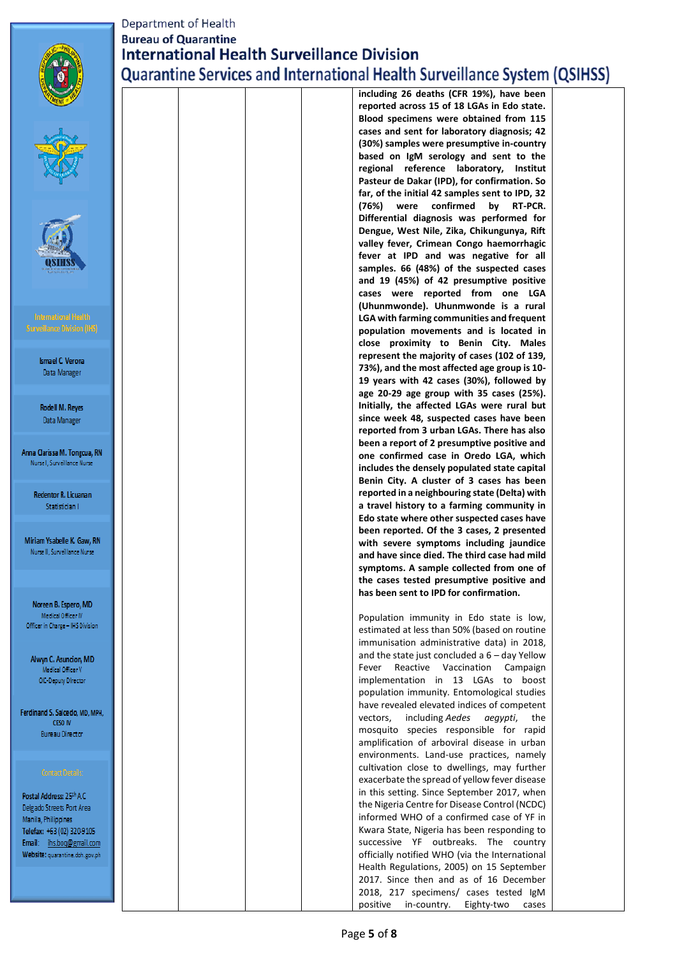

# Department of Health **Bureau of Quarantine International Health Surveillance Division Quarantine Services and International Health Surveillance System (QSIHSS)**

|                                            |  |  | including zo deaths (CFR 19%), have been          |
|--------------------------------------------|--|--|---------------------------------------------------|
|                                            |  |  | reported across 15 of 18 LGAs in Edo state.       |
|                                            |  |  | Blood specimens were obtained from 115            |
|                                            |  |  | cases and sent for laboratory diagnosis; 42       |
|                                            |  |  | (30%) samples were presumptive in-country         |
|                                            |  |  | based on IgM serology and sent to the             |
|                                            |  |  | regional reference laboratory,<br><b>Institut</b> |
|                                            |  |  | Pasteur de Dakar (IPD), for confirmation. So      |
|                                            |  |  | far, of the initial 42 samples sent to IPD, 32    |
|                                            |  |  | confirmed<br>(76%)<br>were<br>by<br>RT-PCR.       |
|                                            |  |  | Differential diagnosis was performed for          |
|                                            |  |  | Dengue, West Nile, Zika, Chikungunya, Rift        |
|                                            |  |  | valley fever, Crimean Congo haemorrhagic          |
|                                            |  |  | fever at IPD and was negative for all             |
|                                            |  |  | samples. 66 (48%) of the suspected cases          |
|                                            |  |  | and 19 (45%) of 42 presumptive positive           |
|                                            |  |  | cases were reported from one LGA                  |
|                                            |  |  | (Uhunmwonde). Uhunmwonde is a rural               |
| <b>International Health</b>                |  |  | LGA with farming communities and frequent         |
| <b>Surveillance Division (IHS)</b>         |  |  | population movements and is located in            |
|                                            |  |  | close proximity to Benin City. Males              |
| <b>Ismael C. Verona</b>                    |  |  | represent the majority of cases (102 of 139,      |
| Data Manager                               |  |  | 73%), and the most affected age group is 10-      |
|                                            |  |  | 19 years with 42 cases (30%), followed by         |
|                                            |  |  | age 20-29 age group with 35 cases (25%).          |
| Rodell M. Reyes                            |  |  | Initially, the affected LGAs were rural but       |
| Data Manager                               |  |  | since week 48, suspected cases have been          |
|                                            |  |  | reported from 3 urban LGAs. There has also        |
|                                            |  |  | been a report of 2 presumptive positive and       |
| Anna Clarissa M. Tongcua, RN               |  |  | one confirmed case in Oredo LGA, which            |
| Nurse I, Surveillance Nurse                |  |  | includes the densely populated state capital      |
|                                            |  |  | Benin City. A cluster of 3 cases has been         |
| Redentor R. Licuanan                       |  |  | reported in a neighbouring state (Delta) with     |
| Statistician I                             |  |  | a travel history to a farming community in        |
|                                            |  |  | Edo state where other suspected cases have        |
|                                            |  |  | been reported. Of the 3 cases, 2 presented        |
| Miriam Ysabelle K. Gaw, RN                 |  |  | with severe symptoms including jaundice           |
| Nurse II, Surveillance Nurse               |  |  | and have since died. The third case had mild      |
|                                            |  |  | symptoms. A sample collected from one of          |
|                                            |  |  | the cases tested presumptive positive and         |
|                                            |  |  | has been sent to IPD for confirmation.            |
| Noreen B. Espero, MID                      |  |  |                                                   |
| Medical Officer IV                         |  |  | Population immunity in Edo state is low,          |
| Officer in Charge - IHS Division           |  |  | estimated at less than 50% (based on routine      |
|                                            |  |  | immunisation administrative data) in 2018,        |
|                                            |  |  | and the state just concluded a $6 -$ day Yellow   |
| Alwyn C. Asuncion, MD<br>Medical Officer V |  |  | Reactive Vaccination<br>Fever<br>Campaign         |
| OIC Deputy Director                        |  |  | implementation in 13 LGAs to boost                |
|                                            |  |  | population immunity. Entomological studies        |
|                                            |  |  | have revealed elevated indices of competent       |
| Ferdinand S. Salcedo, MD, MPH,             |  |  | including Aedes<br>aegypti,<br>the<br>vectors.    |
| CESO IV                                    |  |  | mosquito species responsible for rapid            |
| <b>Bureau Director</b>                     |  |  | amplification of arboviral disease in urban       |
|                                            |  |  | environments. Land-use practices, namely          |
|                                            |  |  | cultivation close to dwellings, may further       |
| <b>Contact Details:</b>                    |  |  | exacerbate the spread of yellow fever disease     |
|                                            |  |  | in this setting. Since September 2017, when       |
| Postal Address: 25th A.C.                  |  |  | the Nigeria Centre for Disease Control (NCDC)     |
| Delgado Streets Port Area                  |  |  | informed WHO of a confirmed case of YF in         |
| Manila, Philippines                        |  |  | Kwara State, Nigeria has been responding to       |
| Telefax: +63 (02) 320-9105                 |  |  | successive YF outbreaks. The country              |
| Email: ihs.bog@gmail.com                   |  |  | officially notified WHO (via the International    |
| Website: quarantine.doh.gov.ph             |  |  |                                                   |
|                                            |  |  | Health Regulations, 2005) on 15 September         |
|                                            |  |  | 2017. Since then and as of 16 December            |
|                                            |  |  | 2018, 217 specimens/ cases tested IgM             |
|                                            |  |  | positive<br>in-country.<br>Eighty-two<br>cases    |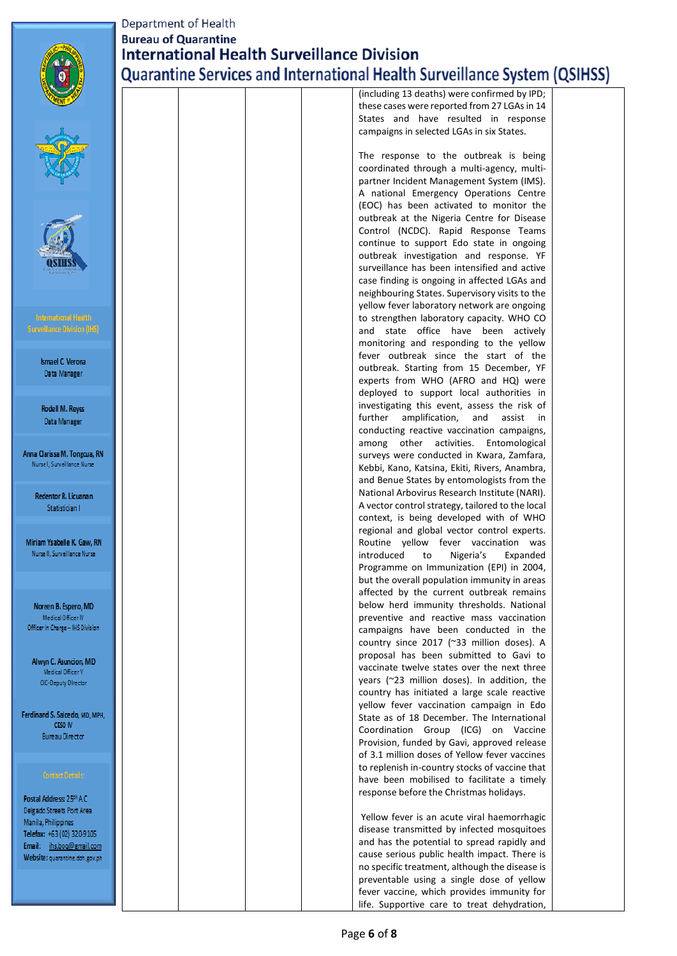

Sun

Anna O Nur

Re

Miriar Nu

> Nor Officer

> > Alv

Ferdinan

Postal Delgado Manila Telefax Email: Websit

## Department of Health **Bureau of Quarantine International Health Surveillance Division** Quarantine Services and International Health Surveillance System (QSIHSS)

|                                   |  |  | (including 13 deaths) were confirmed by IPD;                                                   |  |
|-----------------------------------|--|--|------------------------------------------------------------------------------------------------|--|
|                                   |  |  | these cases were reported from 27 LGAs in 14                                                   |  |
|                                   |  |  | States and have resulted in response<br>campaigns in selected LGAs in six States.              |  |
|                                   |  |  | The response to the outbreak is being                                                          |  |
|                                   |  |  | coordinated through a multi-agency, multi-                                                     |  |
|                                   |  |  | partner Incident Management System (IMS).                                                      |  |
|                                   |  |  | A national Emergency Operations Centre                                                         |  |
|                                   |  |  | (EOC) has been activated to monitor the<br>outbreak at the Nigeria Centre for Disease          |  |
|                                   |  |  | Control (NCDC). Rapid Response Teams                                                           |  |
|                                   |  |  | continue to support Edo state in ongoing                                                       |  |
|                                   |  |  | outbreak investigation and response. YF                                                        |  |
|                                   |  |  | surveillance has been intensified and active                                                   |  |
|                                   |  |  | case finding is ongoing in affected LGAs and                                                   |  |
|                                   |  |  | neighbouring States. Supervisory visits to the                                                 |  |
|                                   |  |  | yellow fever laboratory network are ongoing                                                    |  |
| mational Health                   |  |  | to strengthen laboratory capacity. WHO CO                                                      |  |
| lance Division (I <del>HS</del> ) |  |  | and state office have been actively                                                            |  |
|                                   |  |  | monitoring and responding to the yellow                                                        |  |
| mael C. Verona                    |  |  | fever outbreak since the start of the                                                          |  |
| Data Manager                      |  |  | outbreak. Starting from 15 December, YF                                                        |  |
|                                   |  |  | experts from WHO (AFRO and HQ) were<br>deployed to support local authorities in                |  |
|                                   |  |  | investigating this event, assess the risk of                                                   |  |
| odell M. Reyes                    |  |  | further<br>amplification,<br>and<br>assist<br>in                                               |  |
| Jata Manager                      |  |  | conducting reactive vaccination campaigns,                                                     |  |
|                                   |  |  | other<br>activities.<br>Entomological<br>among                                                 |  |
| ırissa M. Tongcua, RN             |  |  | surveys were conducted in Kwara, Zamfara,                                                      |  |
| I, Surveillance Nurse             |  |  | Kebbi, Kano, Katsina, Ekiti, Rivers, Anambra,                                                  |  |
|                                   |  |  | and Benue States by entomologists from the                                                     |  |
| entor R. Licuanan                 |  |  | National Arbovirus Research Institute (NARI).                                                  |  |
| Statistician I                    |  |  | A vector control strategy, tailored to the local                                               |  |
|                                   |  |  | context, is being developed with of WHO                                                        |  |
| Ysabelle K. Gaw, RN               |  |  | regional and global vector control experts.                                                    |  |
| II, Surveillance Nurse            |  |  | Routine yellow fever vaccination was<br>introduced<br>Nigeria's<br>Expanded<br>to              |  |
|                                   |  |  | Programme on Immunization (EPI) in 2004,                                                       |  |
|                                   |  |  | but the overall population immunity in areas                                                   |  |
|                                   |  |  | affected by the current outbreak remains                                                       |  |
| en B. Espero, MD                  |  |  | below herd immunity thresholds. National                                                       |  |
| ledical Officer IV                |  |  | preventive and reactive mass vaccination                                                       |  |
| n Charge - IHS Division           |  |  | campaigns have been conducted in the                                                           |  |
|                                   |  |  | country since 2017 (~33 million doses). A                                                      |  |
| n C. Asuncion, MD                 |  |  | proposal has been submitted to Gavi to                                                         |  |
| Aedical Officer V                 |  |  | vaccinate twelve states over the next three                                                    |  |
| C-Deputy Director                 |  |  | years (~23 million doses). In addition, the                                                    |  |
|                                   |  |  | country has initiated a large scale reactive<br>yellow fever vaccination campaign in Edo       |  |
| d S. Salcedo, MD, MPH.            |  |  | State as of 18 December. The International                                                     |  |
| CESO IV                           |  |  | Coordination Group (ICG) on Vaccine                                                            |  |
| ureau Director                    |  |  | Provision, funded by Gavi, approved release                                                    |  |
|                                   |  |  | of 3.1 million doses of Yellow fever vaccines                                                  |  |
|                                   |  |  | to replenish in-country stocks of vaccine that                                                 |  |
| ontact Details:                   |  |  | have been mobilised to facilitate a timely                                                     |  |
| ddress: 25th A.C.                 |  |  | response before the Christmas holidays.                                                        |  |
| Streets Port Area                 |  |  |                                                                                                |  |
| Philippines                       |  |  | Yellow fever is an acute viral haemorrhagic                                                    |  |
| +63 (02) 320-9105                 |  |  | disease transmitted by infected mosquitoes                                                     |  |
| ihs.boq@gmail.com                 |  |  | and has the potential to spread rapidly and                                                    |  |
| I quarantine.doh.gov.ph           |  |  | cause serious public health impact. There is<br>no specific treatment, although the disease is |  |
|                                   |  |  | preventable using a single dose of yellow                                                      |  |
|                                   |  |  | fever vaccine, which provides immunity for                                                     |  |
|                                   |  |  | life. Supportive care to treat dehydration,                                                    |  |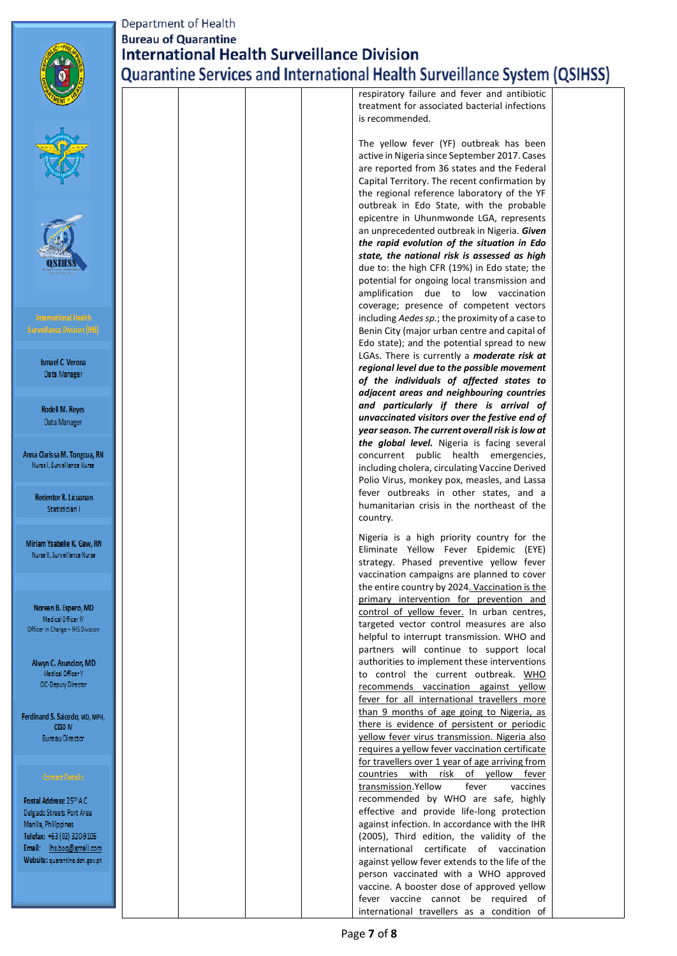

**kmael C. Verona** Data Manager

Rodell M. Reyes Data Manager

Anna Clarissa M. Tongcua, RN Nurse I, Surveillance Nurse

> Redentor R. Licuanan Statistician I

Miriam Ysabelle K, Gaw, RN Nurse II, Surveillance Nurse

### **Department of Health Bureau of Quarantine International Health Surveillance Division** Quarantine Services and International Health Surveillance System (QSIHSS)

respiratory failure and fever and antibiotic treatment for associated bacterial infections is recommended.

The yellow fever (YF) outbreak has been active in Nigeria since September 2017. Cases are reported from 36 states and the Federal Capital Territory. The recent confirmation by the regional reference laboratory of the YF outbreak in Edo State, with the probable epicentre in Uhunmwonde LGA, represents an unprecedented outbreak in Nigeria. *Given the rapid evolution of the situation in Edo state, the national risk is assessed as high* due to: the high CFR (19%) in Edo state; the potential for ongoing local transmission and amplification due to low vaccination coverage; presence of competent vectors including *Aedes sp.*; the proximity of a case to Benin City (major urban centre and capital of Edo state); and the potential spread to new LGAs. There is currently a *moderate risk at regional level due to the possible movement of the individuals of affected states to adjacent areas and neighbouring countries and particularly if there is arrival of unvaccinated visitors over the festive end of year season. The current overall risk is low at the global level.* Nigeria is facing several concurrent public health emergencies, including cholera, circulating Vaccine Derived Polio Virus, monkey pox, measles, and Lassa fever outbreaks in other states, and a humanitarian crisis in the northeast of the country. Nigeria is a high priority country for the Eliminate Yellow Fever Epidemic (EYE)

strategy. Phased preventive yellow fever vaccination campaigns are planned to cover the entire country by 2024. Vaccination is the primary intervention for prevention and control of yellow fever. In urban centres, targeted vector control measures are also helpful to interrupt transmission. WHO and partners will continue to support local authorities to implement these interventions to control the current outbreak. WHO recommends vaccination against yellow fever for all international travellers more than 9 months of age going to Nigeria, as there is evidence of persistent or periodic yellow fever virus transmission. Nigeria also requires a yellow fever vaccination certificate for travellers over 1 year of age arriving from countries with risk of yellow fever transmission.Yellow fever vaccines recommended by WHO are safe, highly effective and provide life-long protection against infection. In accordance with the IHR (2005), Third edition, the validity of the international certificate of vaccination against yellow fever extends to the life of the person vaccinated with a WHO approved vaccine. A booster dose of approved yellow fever vaccine cannot be required of international travellers as a condition of

Noreen B. Espero, MD Medical Officer IV Officer in Charge - IHS Division

Alwyn C. Asuncion, MD Medical Officer V OIC-Deputy Director

Ferdinand S. Salcedo, MD, MPH, CESO IV **Bureau Director** 

Postal Address: 25th A.C. Delgado Streets Port Area Manila, Philippines Telefax: +63 (02) 320-9105 Email: ihs.boq@gmail.com Website: quarantine.doh.gov.ph